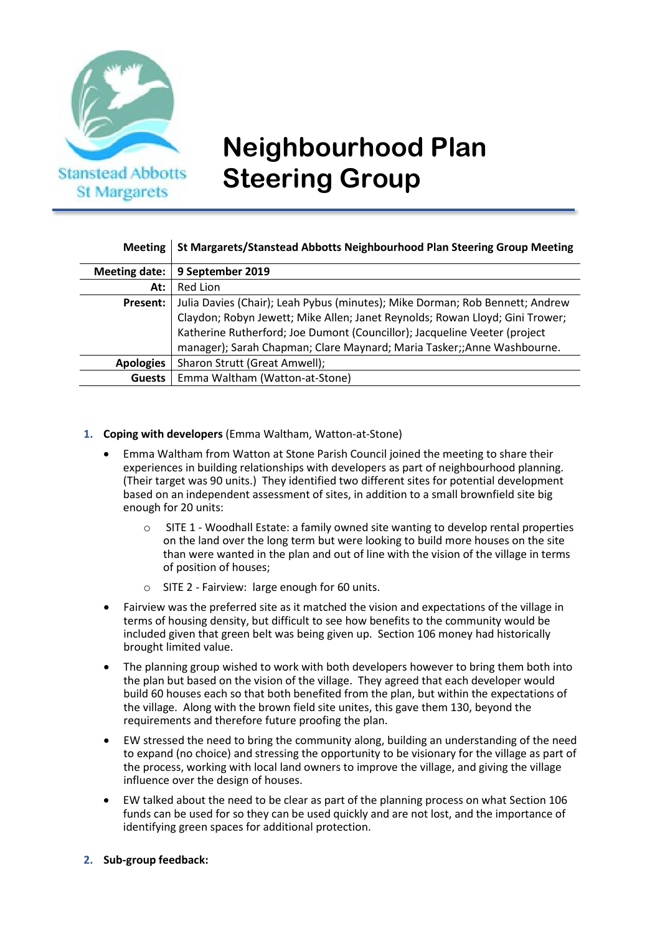

# **Neighbourhood Plan Steering Group**

## **Meeting St Margarets/Stanstead Abbotts Neighbourhood Plan Steering Group Meeting**

| Meeting date: $\vert$ | 9 September 2019                                                             |
|-----------------------|------------------------------------------------------------------------------|
| At:                   | Red Lion                                                                     |
| Present:              | Julia Davies (Chair); Leah Pybus (minutes); Mike Dorman; Rob Bennett; Andrew |
|                       | Claydon; Robyn Jewett; Mike Allen; Janet Reynolds; Rowan Lloyd; Gini Trower; |
|                       | Katherine Rutherford; Joe Dumont (Councillor); Jacqueline Veeter (project    |
|                       | manager); Sarah Chapman; Clare Maynard; Maria Tasker;; Anne Washbourne.      |
| <b>Apologies</b>      | Sharon Strutt (Great Amwell);                                                |
| <b>Guests</b>         | Emma Waltham (Watton-at-Stone)                                               |

## **1. Coping with developers** (Emma Waltham, Watton-at-Stone)

- Emma Waltham from Watton at Stone Parish Council joined the meeting to share their experiences in building relationships with developers as part of neighbourhood planning. (Their target was 90 units.) They identified two different sites for potential development based on an independent assessment of sites, in addition to a small brownfield site big enough for 20 units:
	- o SITE 1 Woodhall Estate: a family owned site wanting to develop rental properties on the land over the long term but were looking to build more houses on the site than were wanted in the plan and out of line with the vision of the village in terms of position of houses;
	- o SITE 2 Fairview: large enough for 60 units.
- Fairview was the preferred site as it matched the vision and expectations of the village in terms of housing density, but difficult to see how benefits to the community would be included given that green belt was being given up. Section 106 money had historically brought limited value.
- The planning group wished to work with both developers however to bring them both into the plan but based on the vision of the village. They agreed that each developer would build 60 houses each so that both benefited from the plan, but within the expectations of the village. Along with the brown field site unites, this gave them 130, beyond the requirements and therefore future proofing the plan.
- EW stressed the need to bring the community along, building an understanding of the need to expand (no choice) and stressing the opportunity to be visionary for the village as part of the process, working with local land owners to improve the village, and giving the village influence over the design of houses.
- EW talked about the need to be clear as part of the planning process on what Section 106 funds can be used for so they can be used quickly and are not lost, and the importance of identifying green spaces for additional protection.
- **2. Sub-group feedback:**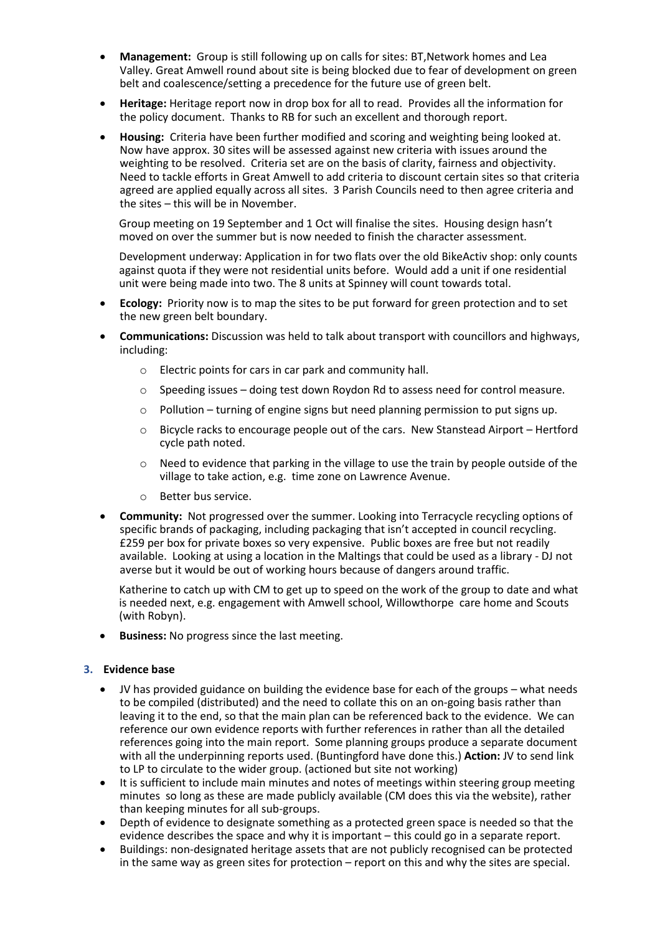- **Management:** Group is still following up on calls for sites: BT,Network homes and Lea Valley. Great Amwell round about site is being blocked due to fear of development on green belt and coalescence/setting a precedence for the future use of green belt.
- **Heritage:** Heritage report now in drop box for all to read. Provides all the information for the policy document. Thanks to RB for such an excellent and thorough report.
- **Housing:** Criteria have been further modified and scoring and weighting being looked at. Now have approx. 30 sites will be assessed against new criteria with issues around the weighting to be resolved. Criteria set are on the basis of clarity, fairness and objectivity. Need to tackle efforts in Great Amwell to add criteria to discount certain sites so that criteria agreed are applied equally across all sites. 3 Parish Councils need to then agree criteria and the sites – this will be in November.

Group meeting on 19 September and 1 Oct will finalise the sites. Housing design hasn't moved on over the summer but is now needed to finish the character assessment.

Development underway: Application in for two flats over the old BikeActiv shop: only counts against quota if they were not residential units before. Would add a unit if one residential unit were being made into two. The 8 units at Spinney will count towards total.

- **Ecology:** Priority now is to map the sites to be put forward for green protection and to set the new green belt boundary.
- **Communications:** Discussion was held to talk about transport with councillors and highways, including:
	- o Electric points for cars in car park and community hall.
	- $\circ$  Speeding issues doing test down Roydon Rd to assess need for control measure.
	- $\circ$  Pollution turning of engine signs but need planning permission to put signs up.
	- o Bicycle racks to encourage people out of the cars. New Stanstead Airport Hertford cycle path noted.
	- $\circ$  Need to evidence that parking in the village to use the train by people outside of the village to take action, e.g. time zone on Lawrence Avenue.
	- o Better bus service.
- **Community:** Not progressed over the summer. Looking into Terracycle recycling options of specific brands of packaging, including packaging that isn't accepted in council recycling. £259 per box for private boxes so very expensive. Public boxes are free but not readily available. Looking at using a location in the Maltings that could be used as a library - DJ not averse but it would be out of working hours because of dangers around traffic.

Katherine to catch up with CM to get up to speed on the work of the group to date and what is needed next, e.g. engagement with Amwell school, Willowthorpe care home and Scouts (with Robyn).

• **Business:** No progress since the last meeting.

#### **3. Evidence base**

- JV has provided guidance on building the evidence base for each of the groups what needs to be compiled (distributed) and the need to collate this on an on-going basis rather than leaving it to the end, so that the main plan can be referenced back to the evidence. We can reference our own evidence reports with further references in rather than all the detailed references going into the main report. Some planning groups produce a separate document with all the underpinning reports used. (Buntingford have done this.) **Action:** JV to send link to LP to circulate to the wider group. (actioned but site not working)
- It is sufficient to include main minutes and notes of meetings within steering group meeting minutes so long as these are made publicly available (CM does this via the website), rather than keeping minutes for all sub-groups.
- Depth of evidence to designate something as a protected green space is needed so that the evidence describes the space and why it is important – this could go in a separate report.
- Buildings: non-designated heritage assets that are not publicly recognised can be protected in the same way as green sites for protection – report on this and why the sites are special.